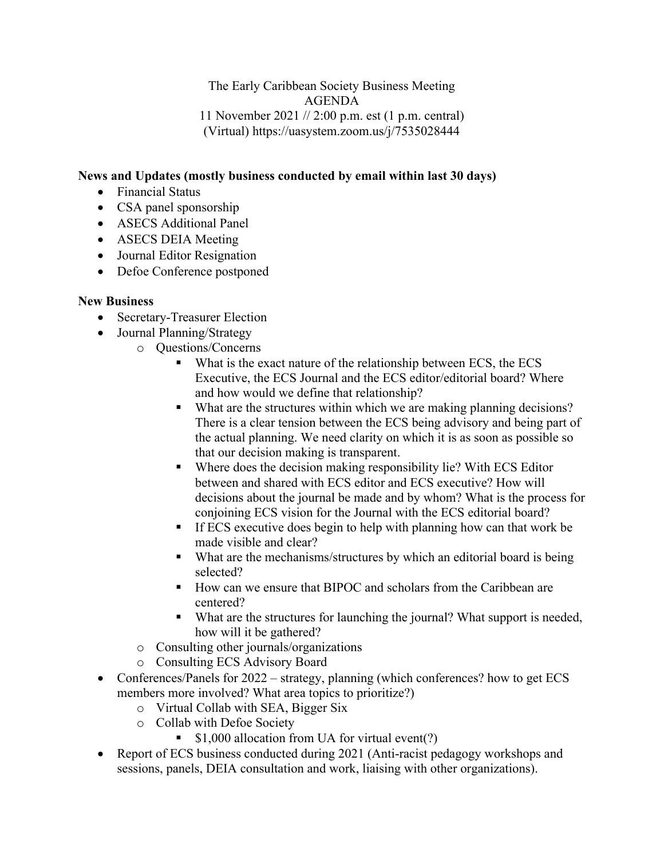The Early Caribbean Society Business Meeting AGENDA 11 November 2021 // 2:00 p.m. est (1 p.m. central) (Virtual) https://uasystem.zoom.us/j/7535028444

## **News and Updates (mostly business conducted by email within last 30 days)**

- Financial Status
- CSA panel sponsorship
- ASECS Additional Panel
- ASECS DEIA Meeting
- Journal Editor Resignation
- Defoe Conference postponed

## **New Business**

- Secretary-Treasurer Election
- Journal Planning/Strategy
	- o Questions/Concerns
		- What is the exact nature of the relationship between ECS, the ECS Executive, the ECS Journal and the ECS editor/editorial board? Where and how would we define that relationship?
		- What are the structures within which we are making planning decisions? There is a clear tension between the ECS being advisory and being part of the actual planning. We need clarity on which it is as soon as possible so that our decision making is transparent.
		- Where does the decision making responsibility lie? With ECS Editor between and shared with ECS editor and ECS executive? How will decisions about the journal be made and by whom? What is the process for conjoining ECS vision for the Journal with the ECS editorial board?
		- If ECS executive does begin to help with planning how can that work be made visible and clear?
		- What are the mechanisms/structures by which an editorial board is being selected?
		- How can we ensure that BIPOC and scholars from the Caribbean are centered?
		- What are the structures for launching the journal? What support is needed, how will it be gathered?
	- o Consulting other journals/organizations
	- o Consulting ECS Advisory Board
- Conferences/Panels for 2022 strategy, planning (which conferences? how to get ECS members more involved? What area topics to prioritize?)
	- o Virtual Collab with SEA, Bigger Six
	- o Collab with Defoe Society
		- **S1,000 allocation from UA for virtual event(?)**
- Report of ECS business conducted during 2021 (Anti-racist pedagogy workshops and sessions, panels, DEIA consultation and work, liaising with other organizations).